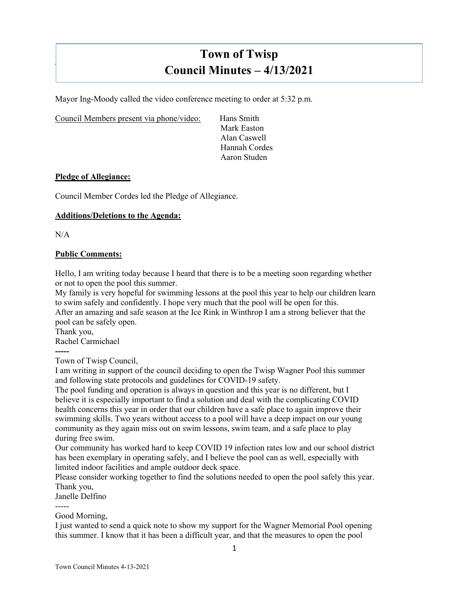# **Town of Twisp Council Minutes – 4/13/2021**

Mayor Ing-Moody called the video conference meeting to order at 5:32 p.m.

Council Members present via phone/video: Hans Smith

Mark Easton Alan Caswell Hannah Cordes Aaron Studen

## **Pledge of Allegiance:**

Council Member Cordes led the Pledge of Allegiance.

# **Additions/Deletions to the Agenda:**

 $N/A$ 

]

## **Public Comments:**

Hello, I am writing today because I heard that there is to be a meeting soon regarding whether or not to open the pool this summer.

My family is very hopeful for swimming lessons at the pool this year to help our children learn to swim safely and confidently. I hope very much that the pool will be open for this.

After an amazing and safe season at the Ice Rink in Winthrop I am a strong believer that the pool can be safely open.

Thank you, Rachel Carmichael

**-----** Town of Twisp Council,

I am writing in support of the council deciding to open the Twisp Wagner Pool this summer and following state protocols and guidelines for COVID-19 safety.

The pool funding and operation is always in question and this year is no different, but I believe it is especially important to find a solution and deal with the complicating COVID health concerns this year in order that our children have a safe place to again improve their swimming skills. Two years without access to a pool will have a deep impact on our young community as they again miss out on swim lessons, swim team, and a safe place to play during free swim.

Our community has worked hard to keep COVID 19 infection rates low and our school district has been exemplary in operating safely, and I believe the pool can as well, especially with limited indoor facilities and ample outdoor deck space.

Please consider working together to find the solutions needed to open the pool safely this year. Thank you,

Janelle Delfino

-----

## Good Morning,

I just wanted to send a quick note to show my support for the Wagner Memorial Pool opening this summer. I know that it has been a difficult year, and that the measures to open the pool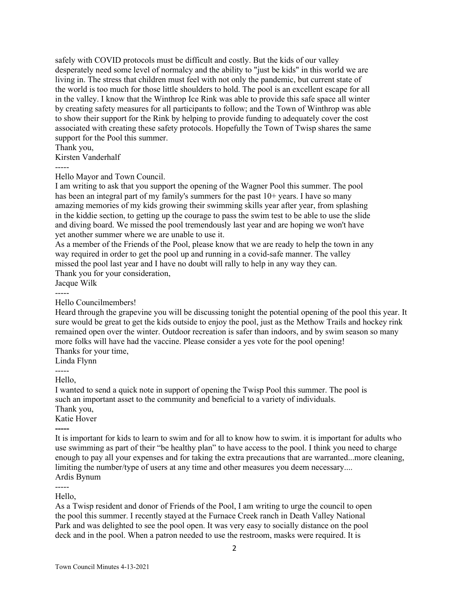safely with COVID protocols must be difficult and costly. But the kids of our valley desperately need some level of normalcy and the ability to "just be kids" in this world we are living in. The stress that children must feel with not only the pandemic, but current state of the world is too much for those little shoulders to hold. The pool is an excellent escape for all in the valley. I know that the Winthrop Ice Rink was able to provide this safe space all winter by creating safety measures for all participants to follow; and the Town of Winthrop was able to show their support for the Rink by helping to provide funding to adequately cover the cost associated with creating these safety protocols. Hopefully the Town of Twisp shares the same support for the Pool this summer.

Thank you,

Kirsten Vanderhalf

-----

Hello Mayor and Town Council.

I am writing to ask that you support the opening of the Wagner Pool this summer. The pool has been an integral part of my family's summers for the past  $10+$  years. I have so many amazing memories of my kids growing their swimming skills year after year, from splashing in the kiddie section, to getting up the courage to pass the swim test to be able to use the slide and diving board. We missed the pool tremendously last year and are hoping we won't have yet another summer where we are unable to use it.

As a member of the Friends of the Pool, please know that we are ready to help the town in any way required in order to get the pool up and running in a covid-safe manner. The valley missed the pool last year and I have no doubt will rally to help in any way they can.

Thank you for your consideration,

Jacque Wilk

-----

Hello Councilmembers!

Heard through the grapevine you will be discussing tonight the potential opening of the pool this year. It sure would be great to get the kids outside to enjoy the pool, just as the Methow Trails and hockey rink remained open over the winter. Outdoor recreation is safer than indoors, and by swim season so many more folks will have had the vaccine. Please consider a yes vote for the pool opening! Thanks for your time,

Linda Flynn

-----

Hello,

I wanted to send a quick note in support of opening the Twisp Pool this summer. The pool is such an important asset to the community and beneficial to a variety of individuals.

Thank you,

Katie Hover

**-----** It is important for kids to learn to swim and for all to know how to swim. it is important for adults who use swimming as part of their "be healthy plan" to have access to the pool. I think you need to charge enough to pay all your expenses and for taking the extra precautions that are warranted...more cleaning, limiting the number/type of users at any time and other measures you deem necessary.... Ardis Bynum

-----

Hello,

As a Twisp resident and donor of Friends of the Pool, I am writing to urge the council to open the pool this summer. I recently stayed at the Furnace Creek ranch in Death Valley National Park and was delighted to see the pool open. It was very easy to socially distance on the pool deck and in the pool. When a patron needed to use the restroom, masks were required. It is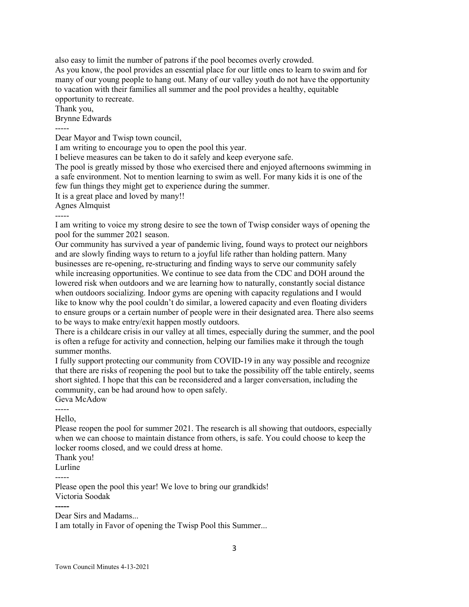also easy to limit the number of patrons if the pool becomes overly crowded. As you know, the pool provides an essential place for our little ones to learn to swim and for many of our young people to hang out. Many of our valley youth do not have the opportunity to vacation with their families all summer and the pool provides a healthy, equitable opportunity to recreate.

Thank you,

Brynne Edwards

-----

Dear Mayor and Twisp town council,

I am writing to encourage you to open the pool this year.

I believe measures can be taken to do it safely and keep everyone safe.

The pool is greatly missed by those who exercised there and enjoyed afternoons swimming in a safe environment. Not to mention learning to swim as well. For many kids it is one of the few fun things they might get to experience during the summer.

It is a great place and loved by many!!

Agnes Almquist

-----

I am writing to voice my strong desire to see the town of Twisp consider ways of opening the pool for the summer 2021 season.

Our community has survived a year of pandemic living, found ways to protect our neighbors and are slowly finding ways to return to a joyful life rather than holding pattern. Many businesses are re-opening, re-structuring and finding ways to serve our community safely while increasing opportunities. We continue to see data from the CDC and DOH around the lowered risk when outdoors and we are learning how to naturally, constantly social distance when outdoors socializing. Indoor gyms are opening with capacity regulations and I would like to know why the pool couldn't do similar, a lowered capacity and even floating dividers to ensure groups or a certain number of people were in their designated area. There also seems to be ways to make entry/exit happen mostly outdoors.

There is a childcare crisis in our valley at all times, especially during the summer, and the pool is often a refuge for activity and connection, helping our families make it through the tough summer months.

I fully support protecting our community from COVID-19 in any way possible and recognize that there are risks of reopening the pool but to take the possibility off the table entirely, seems short sighted. I hope that this can be reconsidered and a larger conversation, including the community, can be had around how to open safely.

Geva McAdow

----- Hello,

Please reopen the pool for summer 2021. The research is all showing that outdoors, especially when we can choose to maintain distance from others, is safe. You could choose to keep the locker rooms closed, and we could dress at home.

Thank you!

Lurline

Please open the pool this year! We love to bring our grandkids! Victoria Soodak

**-----**

Dear Sirs and Madams...

I am totally in Favor of opening the Twisp Pool this Summer...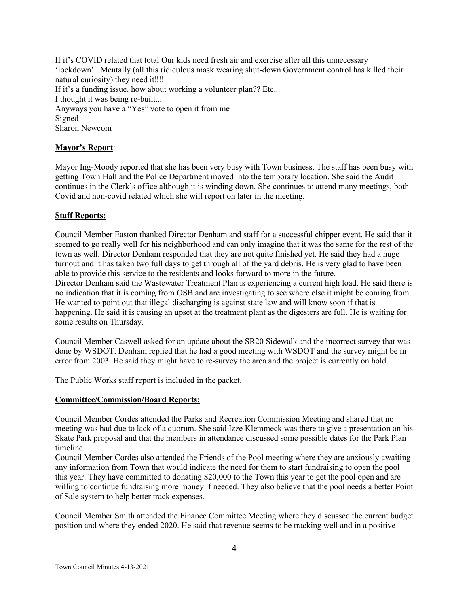If it's COVID related that total Our kids need fresh air and exercise after all this unnecessary 'lockdown'...Mentally (all this ridiculous mask wearing shut-down Government control has killed their natural curiosity) they need it‼‼ If it's a funding issue. how about working a volunteer plan?? Etc... I thought it was being re-built... Anyways you have a "Yes" vote to open it from me Signed Sharon Newcom

# **Mayor's Report**:

Mayor Ing-Moody reported that she has been very busy with Town business. The staff has been busy with getting Town Hall and the Police Department moved into the temporary location. She said the Audit continues in the Clerk's office although it is winding down. She continues to attend many meetings, both Covid and non-covid related which she will report on later in the meeting.

# **Staff Reports:**

Council Member Easton thanked Director Denham and staff for a successful chipper event. He said that it seemed to go really well for his neighborhood and can only imagine that it was the same for the rest of the town as well. Director Denham responded that they are not quite finished yet. He said they had a huge turnout and it has taken two full days to get through all of the yard debris. He is very glad to have been able to provide this service to the residents and looks forward to more in the future. Director Denham said the Wastewater Treatment Plan is experiencing a current high load. He said there is no indication that it is coming from OSB and are investigating to see where else it might be coming from. He wanted to point out that illegal discharging is against state law and will know soon if that is happening. He said it is causing an upset at the treatment plant as the digesters are full. He is waiting for

some results on Thursday.

Council Member Caswell asked for an update about the SR20 Sidewalk and the incorrect survey that was done by WSDOT. Denham replied that he had a good meeting with WSDOT and the survey might be in error from 2003. He said they might have to re-survey the area and the project is currently on hold.

The Public Works staff report is included in the packet.

# **Committee/Commission/Board Reports:**

Council Member Cordes attended the Parks and Recreation Commission Meeting and shared that no meeting was had due to lack of a quorum. She said Izze Klemmeck was there to give a presentation on his Skate Park proposal and that the members in attendance discussed some possible dates for the Park Plan timeline.

Council Member Cordes also attended the Friends of the Pool meeting where they are anxiously awaiting any information from Town that would indicate the need for them to start fundraising to open the pool this year. They have committed to donating \$20,000 to the Town this year to get the pool open and are willing to continue fundraising more money if needed. They also believe that the pool needs a better Point of Sale system to help better track expenses.

Council Member Smith attended the Finance Committee Meeting where they discussed the current budget position and where they ended 2020. He said that revenue seems to be tracking well and in a positive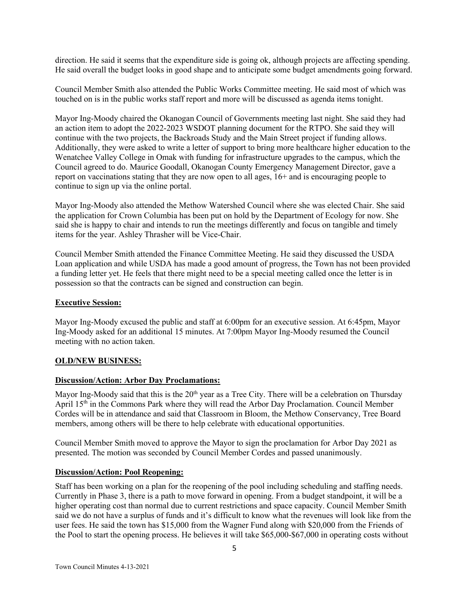direction. He said it seems that the expenditure side is going ok, although projects are affecting spending. He said overall the budget looks in good shape and to anticipate some budget amendments going forward.

Council Member Smith also attended the Public Works Committee meeting. He said most of which was touched on is in the public works staff report and more will be discussed as agenda items tonight.

Mayor Ing-Moody chaired the Okanogan Council of Governments meeting last night. She said they had an action item to adopt the 2022-2023 WSDOT planning document for the RTPO. She said they will continue with the two projects, the Backroads Study and the Main Street project if funding allows. Additionally, they were asked to write a letter of support to bring more healthcare higher education to the Wenatchee Valley College in Omak with funding for infrastructure upgrades to the campus, which the Council agreed to do. Maurice Goodall, Okanogan County Emergency Management Director, gave a report on vaccinations stating that they are now open to all ages, 16+ and is encouraging people to continue to sign up via the online portal.

Mayor Ing-Moody also attended the Methow Watershed Council where she was elected Chair. She said the application for Crown Columbia has been put on hold by the Department of Ecology for now. She said she is happy to chair and intends to run the meetings differently and focus on tangible and timely items for the year. Ashley Thrasher will be Vice-Chair.

Council Member Smith attended the Finance Committee Meeting. He said they discussed the USDA Loan application and while USDA has made a good amount of progress, the Town has not been provided a funding letter yet. He feels that there might need to be a special meeting called once the letter is in possession so that the contracts can be signed and construction can begin.

#### **Executive Session:**

Mayor Ing-Moody excused the public and staff at 6:00pm for an executive session. At 6:45pm, Mayor Ing-Moody asked for an additional 15 minutes. At 7:00pm Mayor Ing-Moody resumed the Council meeting with no action taken.

#### **OLD/NEW BUSINESS:**

# **Discussion/Action: Arbor Day Proclamations:**

Mayor Ing-Moody said that this is the  $20<sup>th</sup>$  year as a Tree City. There will be a celebration on Thursday April 15th in the Commons Park where they will read the Arbor Day Proclamation. Council Member Cordes will be in attendance and said that Classroom in Bloom, the Methow Conservancy, Tree Board members, among others will be there to help celebrate with educational opportunities.

Council Member Smith moved to approve the Mayor to sign the proclamation for Arbor Day 2021 as presented. The motion was seconded by Council Member Cordes and passed unanimously.

# **Discussion/Action: Pool Reopening:**

Staff has been working on a plan for the reopening of the pool including scheduling and staffing needs. Currently in Phase 3, there is a path to move forward in opening. From a budget standpoint, it will be a higher operating cost than normal due to current restrictions and space capacity. Council Member Smith said we do not have a surplus of funds and it's difficult to know what the revenues will look like from the user fees. He said the town has \$15,000 from the Wagner Fund along with \$20,000 from the Friends of the Pool to start the opening process. He believes it will take \$65,000-\$67,000 in operating costs without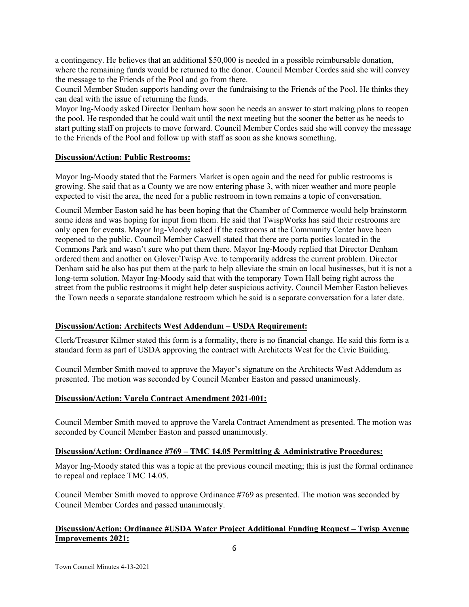a contingency. He believes that an additional \$50,000 is needed in a possible reimbursable donation, where the remaining funds would be returned to the donor. Council Member Cordes said she will convey the message to the Friends of the Pool and go from there.

Council Member Studen supports handing over the fundraising to the Friends of the Pool. He thinks they can deal with the issue of returning the funds.

Mayor Ing-Moody asked Director Denham how soon he needs an answer to start making plans to reopen the pool. He responded that he could wait until the next meeting but the sooner the better as he needs to start putting staff on projects to move forward. Council Member Cordes said she will convey the message to the Friends of the Pool and follow up with staff as soon as she knows something.

## **Discussion/Action: Public Restrooms:**

Mayor Ing-Moody stated that the Farmers Market is open again and the need for public restrooms is growing. She said that as a County we are now entering phase 3, with nicer weather and more people expected to visit the area, the need for a public restroom in town remains a topic of conversation.

Council Member Easton said he has been hoping that the Chamber of Commerce would help brainstorm some ideas and was hoping for input from them. He said that TwispWorks has said their restrooms are only open for events. Mayor Ing-Moody asked if the restrooms at the Community Center have been reopened to the public. Council Member Caswell stated that there are porta potties located in the Commons Park and wasn't sure who put them there. Mayor Ing-Moody replied that Director Denham ordered them and another on Glover/Twisp Ave. to temporarily address the current problem. Director Denham said he also has put them at the park to help alleviate the strain on local businesses, but it is not a long-term solution. Mayor Ing-Moody said that with the temporary Town Hall being right across the street from the public restrooms it might help deter suspicious activity. Council Member Easton believes the Town needs a separate standalone restroom which he said is a separate conversation for a later date.

#### **Discussion/Action: Architects West Addendum – USDA Requirement:**

Clerk/Treasurer Kilmer stated this form is a formality, there is no financial change. He said this form is a standard form as part of USDA approving the contract with Architects West for the Civic Building.

Council Member Smith moved to approve the Mayor's signature on the Architects West Addendum as presented. The motion was seconded by Council Member Easton and passed unanimously.

#### **Discussion/Action: Varela Contract Amendment 2021-001:**

Council Member Smith moved to approve the Varela Contract Amendment as presented. The motion was seconded by Council Member Easton and passed unanimously.

## **Discussion/Action: Ordinance #769 – TMC 14.05 Permitting & Administrative Procedures:**

Mayor Ing-Moody stated this was a topic at the previous council meeting; this is just the formal ordinance to repeal and replace TMC 14.05.

Council Member Smith moved to approve Ordinance #769 as presented. The motion was seconded by Council Member Cordes and passed unanimously.

# **Discussion/Action: Ordinance #USDA Water Project Additional Funding Request – Twisp Avenue Improvements 2021:**